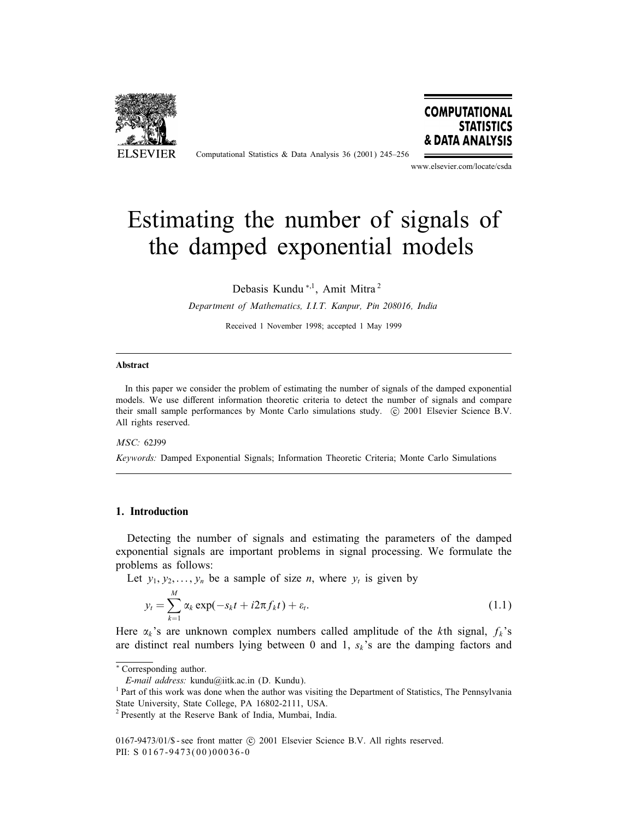

Computational Statistics & Data Analysis 36 (2001) 245–256



www.elsevier.com/locate/csda

# Estimating the number of signals of the damped exponential models

Debasis Kundu <sup>∗</sup>;1, Amit Mitra <sup>2</sup>

*Department of Mathematics, I.I.T. Kanpur, Pin 208016, India*

Received 1 November1998; accepted 1 May 1999

#### Abstract

In this paper we consider the problem of estimating the number of signals of the damped exponential models. We use different information theoretic criteria to detect the number of signals and compare their small sample performances by Monte Carlo simulations study. (C) 2001 Elsevier Science B.V. All rights reserved.

#### *MSC:* 62J99

*Keywords:* Damped Exponential Signals; Information Theoretic Criteria; Monte Carlo Simulations

#### 1. Introduction

Detecting the number of signals and estimating the parameters of the damped exponential signals are important problems in signal processing. We formulate the problems as follows:

Let  $y_1, y_2,..., y_n$  be a sample of size *n*, where  $y_t$  is given by

$$
y_t = \sum_{k=1}^{M} \alpha_k \exp(-s_k t + i2\pi f_k t) + \varepsilon_t.
$$
 (1.1)

Here  $\alpha_k$ 's are unknown complex numbers called amplitude of the kth signal,  $f_k$ 's are distinct real numbers lying between 0 and 1,  $s_k$ 's are the damping factors and

<sup>∗</sup> Corresponding author.

*E-mail address:* kundu@iitk.ac.in (D. Kundu).

<sup>&</sup>lt;sup>1</sup> Part of this work was done when the author was visiting the Department of Statistics, The Pennsylvania State University, State College, PA 16802-2111, USA.

<sup>2</sup> Presently at the Reserve Bank of India, Mumbai, India.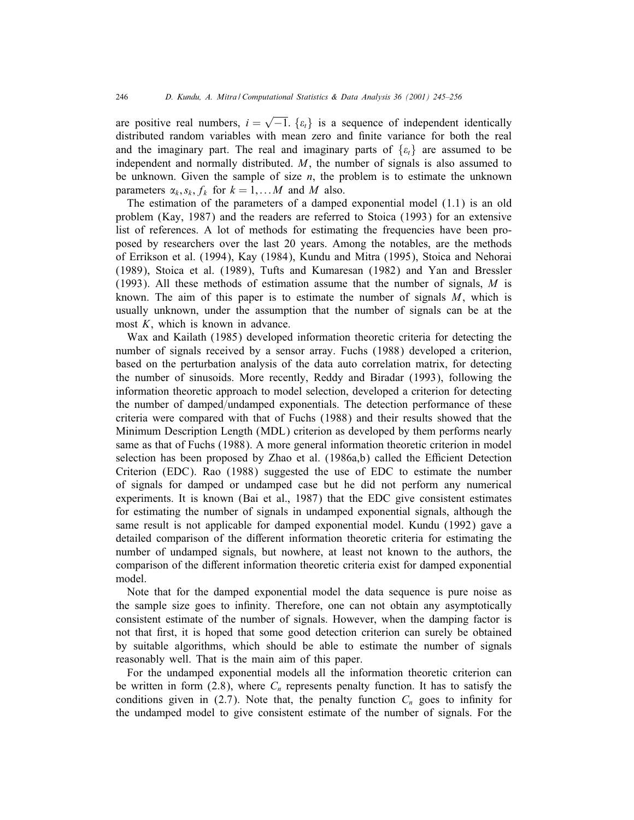are positive real numbers,  $i = \sqrt{-1}$ . { $\varepsilon_t$ } is a sequence of independent identically distributed random variables with mean zero and Gnite variance for both the real and the imaginary part. The real and imaginary parts of  $\{\varepsilon_t\}$  are assumed to be independent and normally distributed.  $M$ , the number of signals is also assumed to be unknown. Given the sample of size  $n$ , the problem is to estimate the unknown parameters  $\alpha_k$ ,  $s_k$ ,  $f_k$  for  $k = 1,...M$  and M also.

The estimation of the parameters of a damped exponential model (1.1) is an old problem (Kay, 1987) and the readers are referred to Stoica (1993) for an extensive list of references. A lot of methods for estimating the frequencies have been proposed by researchers over the last 20 years. Among the notables, are the methods of Errikson et al. (1994), Kay (1984), Kundu and Mitra (1995), Stoica and Nehorai (1989), Stoica et al. (1989), Tufts and Kumaresan (1982) and Yan and Bressler (1993). All these methods of estimation assume that the number of signals,  $M$  is known. The aim of this paper is to estimate the number of signals  $M$ , which is usually unknown, under the assumption that the number of signals can be at the most  $K$ , which is known in advance.

Wax and Kailath (1985) developed information theoretic criteria for detecting the number of signals received by a sensor array. Fuchs (1988) developed a criterion, based on the perturbation analysis of the data auto correlation matrix, for detecting the number of sinusoids. More recently, Reddy and Biradar (1993), following the information theoretic approach to model selection, developed a criterion for detecting the number of damped/undamped exponentials. The detection performance of these criteria were compared with that of Fuchs (1988) and their results showed that the Minimum Description Length (MDL) criterion as developed by them performs nearly same as that of Fuchs (1988). A more general information theoretic criterion in model selection has been proposed by Zhao et al.  $(1986a,b)$  called the Efficient Detection Criterion (EDC). Rao (1988) suggested the use of EDC to estimate the number of signals for damped or undamped case but he did not perform any numerical experiments. It is known (Bai et al., 1987) that the EDC give consistent estimates for estimating the number of signals in undamped exponential signals, although the same result is not applicable for damped exponential model. Kundu (1992) gave a detailed comparison of the different information theoretic criteria for estimating the number of undamped signals, but nowhere, at least not known to the authors, the comparison of the different information theoretic criteria exist for damped exponential model.

Note that for the damped exponential model the data sequence is pure noise as the sample size goes to infinity. Therefore, one can not obtain any asymptotically consistent estimate of the number of signals. However, when the damping factor is not that first, it is hoped that some good detection criterion can surely be obtained by suitable algorithms, which should be able to estimate the number of signals reasonably well. That is the main aim of this paper.

For the undamped exponential models all the information theoretic criterion can be written in form (2.8), where  $C_n$  represents penalty function. It has to satisfy the conditions given in (2.7). Note that, the penalty function  $C_n$  goes to infinity for the undamped model to give consistent estimate of the number of signals. For the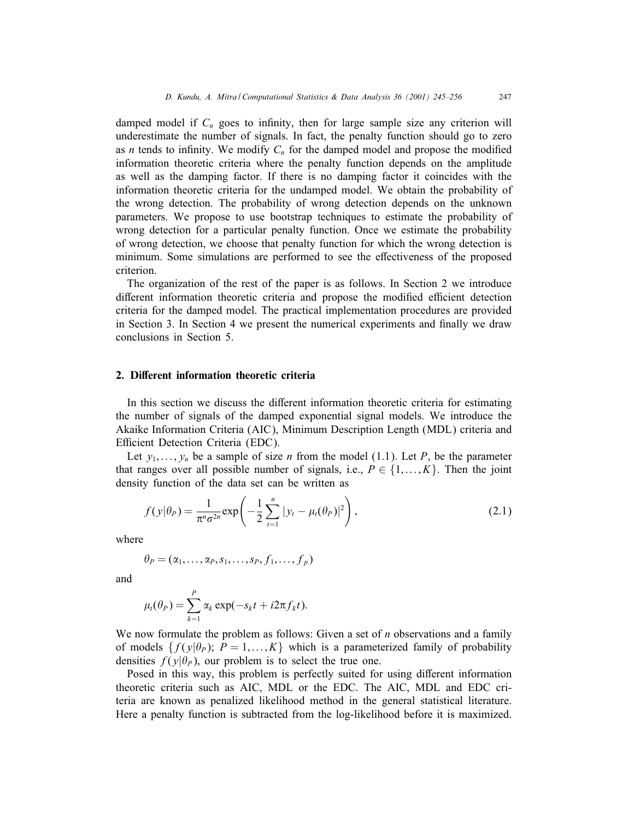damped model if  $C_n$  goes to infinity, then for large sample size any criterion will underestimate the number of signals. In fact, the penalty function should go to zero as *n* tends to infinity. We modify  $C_n$  for the damped model and propose the modified information theoretic criteria where the penalty function depends on the amplitude as well as the damping factor. If there is no damping factor it coincides with the information theoretic criteria for the undamped model. We obtain the probability of the wrong detection. The probability of wrong detection depends on the unknown parameters. We propose to use bootstrap techniques to estimate the probability of wrong detection for a particular penalty function. Once we estimate the probability of wrong detection, we choose that penalty function for which the wrong detection is minimum. Some simulations are performed to see the effectiveness of the proposed criterion.

The organization of the rest of the paper is as follows. In Section 2 we introduce different information theoretic criteria and propose the modified efficient detection criteria for the damped model. The practical implementation procedures are provided in Section 3. In Section 4 we present the numerical experiments and finally we draw conclusions in Section 5.

#### 2. Different information theoretic criteria

In this section we discuss the different information theoretic criteria for estimating the number of signals of the damped exponential signal models. We introduce the Akaike Information Criteria (AIC), Minimum Description Length (MDL) criteria and Efficient Detection Criteria (EDC).

Let  $y_1, \ldots, y_n$  be a sample of size *n* from the model (1.1). Let *P*, be the parameter that ranges over all possible number of signals, i.e.,  $P \in \{1, \ldots, K\}$ . Then the joint density function of the data set can be written as

$$
f(y|\theta_P) = \frac{1}{\pi^n \sigma^{2n}} \exp\left(-\frac{1}{2} \sum_{t=1}^n |y_t - \mu_t(\theta_P)|^2\right),
$$
 (2.1)

where

$$
\theta_P = (\alpha_1, \ldots, \alpha_P, s_1, \ldots, s_P, f_1, \ldots, f_p)
$$

and

$$
\mu_t(\theta_P) = \sum_{k=1}^P \alpha_k \exp(-s_k t + i 2\pi f_k t).
$$

We now formulate the problem as follows: Given a set of  $n$  observations and a family of models  $\{f(\gamma|\theta_p); P = 1,...,K\}$  which is a parameterized family of probability densities  $f(y|\theta_p)$ , our problem is to select the true one.

Posed in this way, this problem is perfectly suited for using different information theoretic criteria such as AIC, MDL or the EDC. The AIC, MDL and EDC criteria are known as penalized likelihood method in the general statistical literature. Here a penalty function is subtracted from the log-likelihood before it is maximized.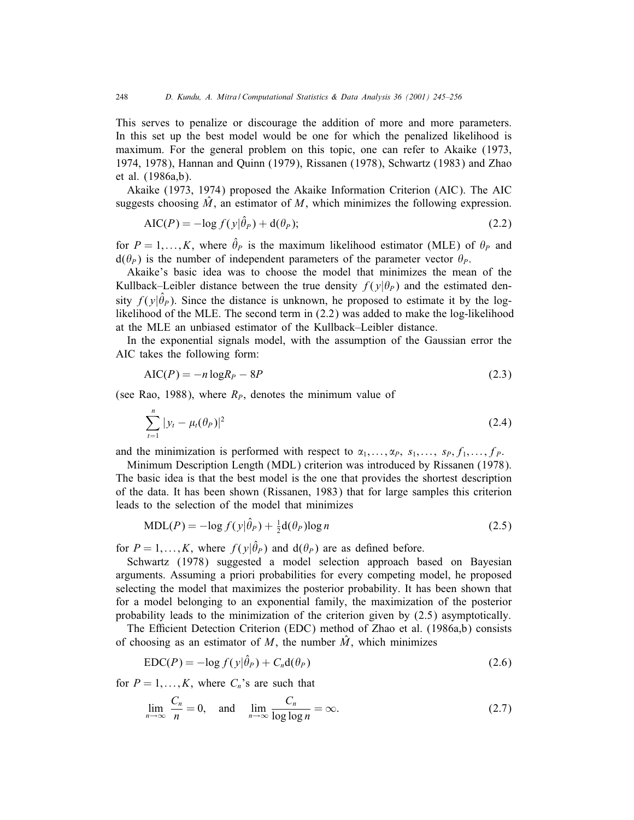This serves to penalize or discourage the addition of more and more parameters. In this set up the best model would be one forwhich the penalized likelihood is maximum. For the general problem on this topic, one can refer to Akaike (1973, 1974, 1978), Hannan and Quinn (1979), Rissanen (1978), Schwartz (1983) and Zhao et al. (1986a,b).

Akaike (1973, 1974) proposed the Akaike Information Criterion (AIC). The AIC suggests choosing  $\hat{M}$ , an estimator of M, which minimizes the following expression.

$$
AIC(P) = -\log f(y|\hat{\theta}_P) + d(\theta_P); \qquad (2.2)
$$

for  $P = 1, ..., K$ , where  $\hat{\theta}_P$  is the maximum likelihood estimator (MLE) of  $\theta_P$  and  $d(\theta_P)$  is the number of independent parameters of the parameter vector  $\theta_P$ .

Akaike's basic idea was to choose the model that minimizes the mean of the Kullback–Leibler distance between the true density  $f(y|\theta_p)$  and the estimated density  $f(y|\hat{\theta}_P)$ . Since the distance is unknown, he proposed to estimate it by the loglikelihood of the MLE. The second term in (2.2) was added to make the log-likelihood at the MLE an unbiased estimator of the Kullback–Leibler distance.

In the exponential signals model, with the assumption of the Gaussian error the AIC takes the following form:

$$
AIC(P) = -n \log R_P - 8P \tag{2.3}
$$

(see Rao, 1988), where  $R<sub>P</sub>$ , denotes the minimum value of

$$
\sum_{t=1}^{n} |y_t - \mu_t(\theta_P)|^2
$$
 (2.4)

and the minimization is performed with respect to  $\alpha_1, \ldots, \alpha_p$ ,  $s_1, \ldots, s_p$ ,  $f_1, \ldots, f_p$ .

Minimum Description Length (MDL) criterion was introduced by Rissanen (1978). The basic idea is that the best model is the one that provides the shortest description of the data. It has been shown (Rissanen, 1983) that for large samples this criterion leads to the selection of the model that minimizes

$$
MDL(P) = -\log f(y|\hat{\theta}_P) + \frac{1}{2}d(\theta_P)\log n
$$
\n(2.5)

for  $P = 1, ..., K$ , where  $f(y|\hat{\theta}_P)$  and  $d(\theta_P)$  are as defined before.

Schwartz (1978) suggested a model selection approach based on Bayesian arguments. Assuming a priori probabilities for every competing model, he proposed selecting the model that maximizes the posterior probability. It has been shown that fora model belonging to an exponential family, the maximization of the posterior probability leads to the minimization of the criterion given by (2.5) asymptotically.

The Efficient Detection Criterion (EDC) method of Zhao et al. (1986a,b) consists of choosing as an estimator of M, the number  $\hat{M}$ , which minimizes

$$
EDC(P) = -\log f(y|\hat{\theta}_P) + C_n d(\theta_P)
$$
\n(2.6)

for  $P = 1, \ldots, K$ , where  $C_n$ 's are such that

$$
\lim_{n \to \infty} \frac{C_n}{n} = 0, \quad \text{and} \quad \lim_{n \to \infty} \frac{C_n}{\log \log n} = \infty. \tag{2.7}
$$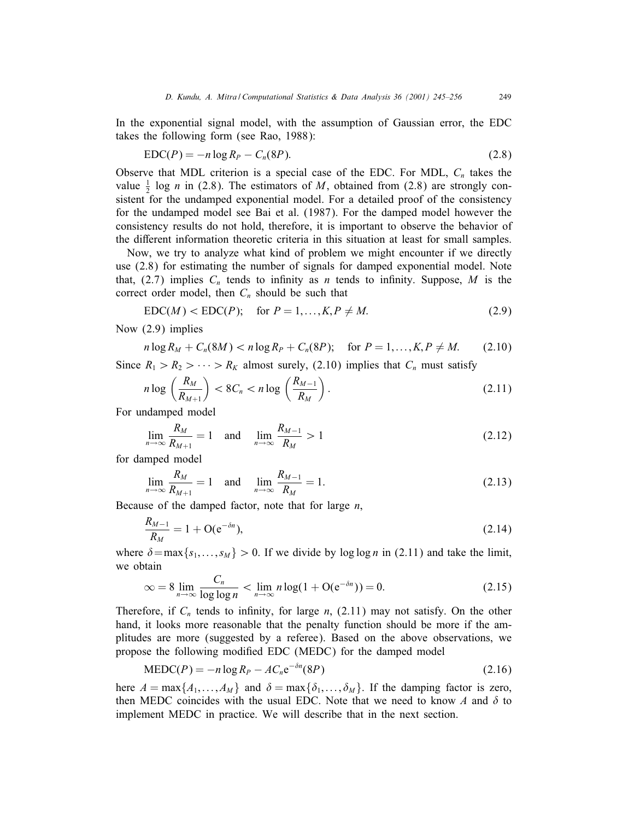In the exponential signal model, with the assumption of Gaussian error, the EDC takes the following form (see Rao, 1988):

$$
EDC(P) = -n \log R_P - C_n(8P). \tag{2.8}
$$

Observe that MDL criterion is a special case of the EDC. For MDL,  $C_n$  takes the value  $\frac{1}{2}$  log *n* in (2.8). The estimators of *M*, obtained from (2.8) are strongly consistent for the undamped exponential model. For a detailed proof of the consistency for the undamped model see Bai et al. (1987). For the damped model however the consistency results do not hold, therefore, it is important to observe the behavior of the different information theoretic criteria in this situation at least for small samples.

Now, we try to analyze what kind of problem we might encounter if we directly use  $(2.8)$  for estimating the number of signals for damped exponential model. Note that, (2.7) implies  $C_n$  tends to infinity as n tends to infinity. Suppose, M is the correct order model, then  $C_n$  should be such that

$$
EDC(M) < EDC(P); \quad \text{for } P = 1, \dots, K, P \neq M. \tag{2.9}
$$

Now (2.9) implies

$$
n \log R_M + C_n(8M) < n \log R_P + C_n(8P); \quad \text{for } P = 1, \dots, K, P \neq M. \tag{2.10}
$$

Since  $R_1 > R_2 > \cdots > R_K$  almost surely, (2.10) implies that  $C_n$  must satisfy

$$
n\log\left(\frac{R_M}{R_{M+1}}\right) < 8C_n < n\log\left(\frac{R_{M-1}}{R_M}\right). \tag{2.11}
$$

For undamped model

$$
\lim_{n \to \infty} \frac{R_M}{R_{M+1}} = 1 \quad \text{and} \quad \lim_{n \to \infty} \frac{R_{M-1}}{R_M} > 1 \tag{2.12}
$$

for damped model

$$
\lim_{n \to \infty} \frac{R_M}{R_{M+1}} = 1 \quad \text{and} \quad \lim_{n \to \infty} \frac{R_{M-1}}{R_M} = 1. \tag{2.13}
$$

Because of the damped factor, note that for large  $n$ ,

$$
\frac{R_{M-1}}{R_M} = 1 + \mathcal{O}(e^{-\delta n}),\tag{2.14}
$$

where  $\delta = \max\{s_1, \ldots, s_M\} > 0$ . If we divide by log log n in (2.11) and take the limit, we obtain

$$
\infty = 8 \lim_{n \to \infty} \frac{C_n}{\log \log n} < \lim_{n \to \infty} n \log(1 + \mathcal{O}(e^{-\delta n})) = 0. \tag{2.15}
$$

Therefore, if  $C_n$  tends to infinity, for large n, (2.11) may not satisfy. On the other hand, it looks more reasonable that the penalty function should be more if the amplitudes are more (suggested by a referee). Based on the above observations, we propose the following modified EDC (MEDC) for the damped model

$$
MEDC(P) = -n \log R_P - AC_n e^{-\delta n} (8P)
$$
\n(2.16)

here  $A = \max\{A_1,\ldots,A_M\}$  and  $\delta = \max\{\delta_1,\ldots,\delta_M\}$ . If the damping factor is zero, then MEDC coincides with the usual EDC. Note that we need to know A and  $\delta$  to implement MEDC in practice. We will describe that in the next section.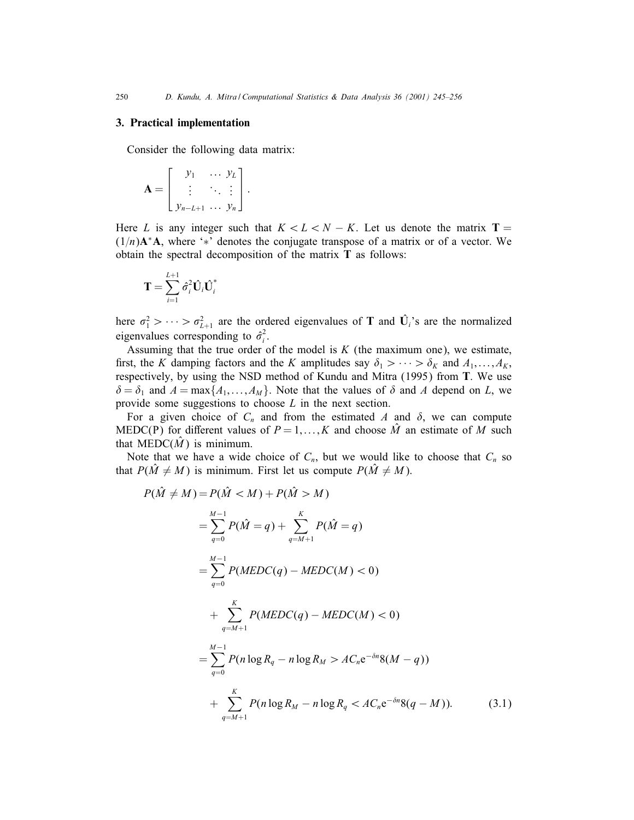## 3. Practical implementation

Consider the following data matrix:

$$
\mathbf{A} = \begin{bmatrix} y_1 & \dots & y_L \\ \vdots & \ddots & \vdots \\ y_{n-L+1} & \dots & y_n \end{bmatrix}.
$$

Here L is any integer such that  $K < L < N - K$ . Let us denote the matrix T =  $(1/n)$ A<sup>\*</sup>A, where '<sup>\*</sup>' denotes the conjugate transpose of a matrix or of a vector. We obtain the spectral decomposition of the matrix T as follows:

$$
\mathbf{T} = \sum_{i=1}^{L+1} \hat{\sigma}_i^2 \hat{\mathbf{U}}_i \hat{\mathbf{U}}_i^*
$$

here  $\sigma_1^2 > \cdots > \sigma_{L+1}^2$  are the ordered eigenvalues of T and  $\hat{U}_i$ 's are the normalized eigenvalues corresponding to  $\hat{\sigma}_i^2$ .

Assuming that the true order of the model is  $K$  (the maximum one), we estimate, first, the K damping factors and the K amplitudes say  $\delta_1 > \cdots > \delta_K$  and  $A_1, \ldots, A_K$ , respectively, by using the NSD method of Kundu and Mitra (1995) from T. We use  $\delta = \delta_1$  and  $A = \max\{A_1,\ldots,A_M\}$ . Note that the values of  $\delta$  and A depend on L, we provide some suggestions to choose L in the next section.

For a given choice of  $C_n$  and from the estimated A and  $\delta$ , we can compute MEDC(P) for different values of  $P = 1, ..., K$  and choose  $\hat{M}$  an estimate of M such that MEDC $(\hat{M})$  is minimum.

Note that we have a wide choice of  $C_n$ , but we would like to choose that  $C_n$  so that  $P(\hat{M} \neq M)$  is minimum. First let us compute  $P(\hat{M} \neq M)$ .

$$
P(\hat{M} \neq M) = P(\hat{M} < M) + P(\hat{M} > M)
$$
\n
$$
= \sum_{q=0}^{M-1} P(\hat{M} = q) + \sum_{q=M+1}^{K} P(\hat{M} = q)
$$
\n
$$
= \sum_{q=0}^{M-1} P(MEDC(q) - MEDC(M) < 0)
$$
\n
$$
+ \sum_{q=M+1}^{K} P(MEDC(q) - MEDC(M) < 0)
$$
\n
$$
= \sum_{q=0}^{M-1} P(n \log R_q - n \log R_M > AC_n e^{-\delta n} 8(M - q))
$$
\n
$$
+ \sum_{q=M+1}^{K} P(n \log R_M - n \log R_q < AC_n e^{-\delta n} 8(q - M)). \tag{3.1}
$$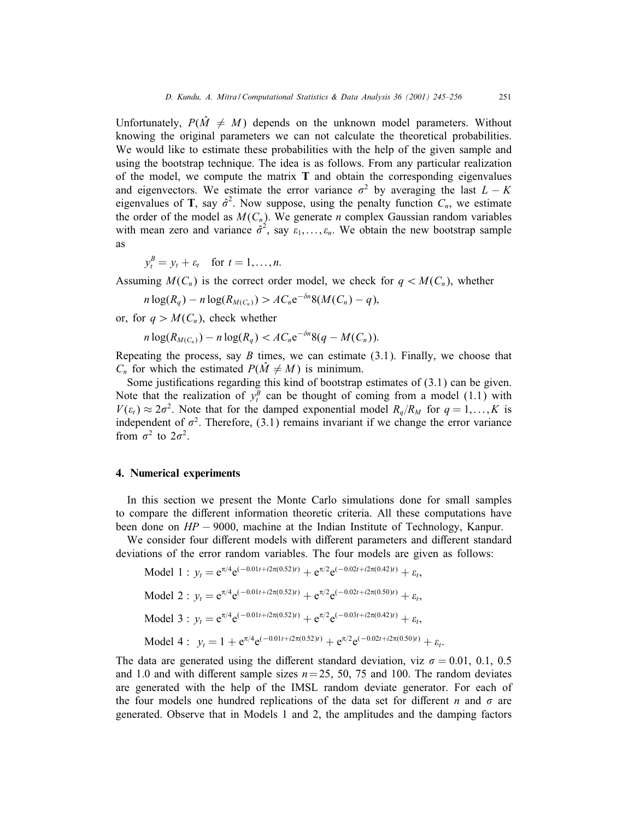Unfortunately,  $P(\hat{M} \neq M)$  depends on the unknown model parameters. Without knowing the original parameters we can not calculate the theoretical probabilities. We would like to estimate these probabilities with the help of the given sample and using the bootstrap technique. The idea is as follows. From any particular realization of the model, we compute the matrix  $T$  and obtain the corresponding eigenvalues and eigenvectors. We estimate the error variance  $\sigma^2$  by averaging the last  $L - K$ eigenvalues of T, say  $\hat{\sigma}^2$ . Now suppose, using the penalty function  $C_n$ , we estimate the order of the model as  $M(C_n)$ . We generate *n* complex Gaussian random variables with mean zero and variance  $\hat{\sigma}^2$ , say  $\varepsilon_1, \ldots, \varepsilon_n$ . We obtain the new bootstrap sample as

$$
y_t^B = y_t + \varepsilon_t \quad \text{for } t = 1, \dots, n.
$$

Assuming  $M(C_n)$  is the correct order model, we check for  $q < M(C_n)$ , whether

$$
n\log(R_q) - n\log(R_{M(C_n)}) > AC_n e^{-\delta n} 8(M(C_n) - q),
$$

or, for  $q > M(C_n)$ , check whether

$$
n\log(R_{M(C_n)})-n\log(R_q)< AC_n e^{-\delta n}\frac{8(q-M(C_n))}{n}.
$$

Repeating the process, say  $B$  times, we can estimate  $(3.1)$ . Finally, we choose that  $C_n$  for which the estimated  $P(\hat{M} \neq M)$  is minimum.

Some justifications regarding this kind of bootstrap estimates of  $(3.1)$  can be given. Note that the realization of  $y_t^B$  can be thought of coming from a model (1.1) with  $V(\varepsilon_t) \approx 2\sigma^2$ . Note that for the damped exponential model  $R_q/R_M$  for  $q = 1,\ldots,K$  is independent of  $\sigma^2$ . Therefore, (3.1) remains invariant if we change the error variance from  $\sigma^2$  to  $2\sigma^2$ .

## 4. Numerical experiments

In this section we present the Monte Carlo simulations done for small samples to compare the different information theoretic criteria. All these computations have been done on HP − 9000, machine at the Indian Institute of Technology, Kanpur.

We consider four different models with different parameters and different standard deviations of the error random variables. The four models are given as follows:

Model 1 : 
$$
y_t = e^{\pi/4} e^{(-0.01t + i2\pi(0.52)t)} + e^{\pi/2} e^{(-0.02t + i2\pi(0.42)t)} + \varepsilon_t
$$
,  
\nModel 2 :  $y_t = e^{\pi/4} e^{(-0.01t + i2\pi(0.52)t)} + e^{\pi/2} e^{(-0.02t + i2\pi(0.50)t)} + \varepsilon_t$ ,  
\nModel 3 :  $y_t = e^{\pi/4} e^{(-0.01t + i2\pi(0.52)t)} + e^{\pi/2} e^{(-0.03t + i2\pi(0.42)t)} + \varepsilon_t$ ,  
\nModel 4 :  $y_t = 1 + e^{\pi/4} e^{(-0.01t + i2\pi(0.52)t)} + e^{\pi/2} e^{(-0.02t + i2\pi(0.50)t)} + \varepsilon_t$ .

The data are generated using the different standard deviation, viz  $\sigma = 0.01, 0.1, 0.5$ and 1.0 and with different sample sizes  $n= 25, 50, 75$  and 100. The random deviates are generated with the help of the IMSL random deviate generator. For each of the four models one hundred replications of the data set for different n and  $\sigma$  are generated. Observe that in Models 1 and 2, the amplitudes and the damping factors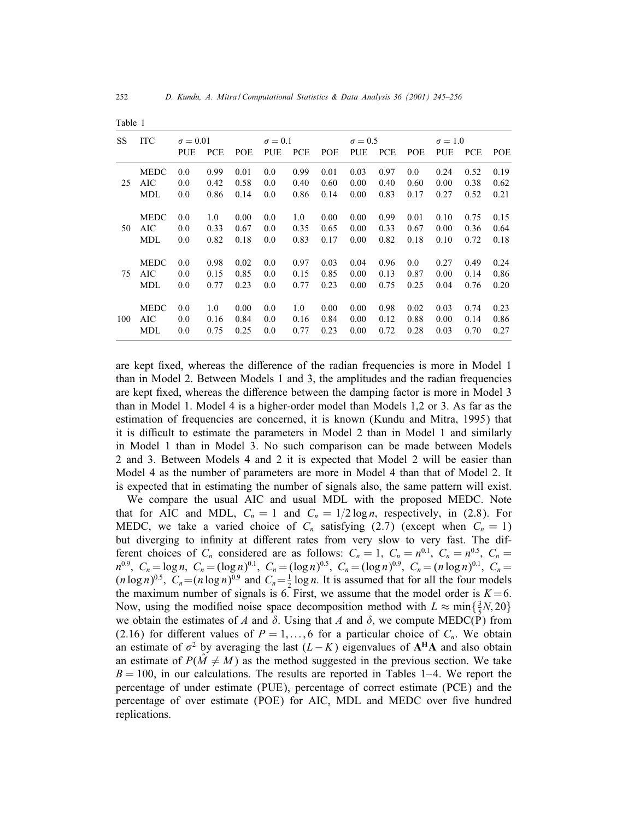MDL 0.0 0.82 0.18 0.0 0.83 0.17 0.00 0.82 0.18 0.10 0.72 0.18

MEDC 0.0 0.98 0.02 0.0 0.97 0.03 0.04 0.96 0.0 0.27 0.49 0.24 75 AIC 0.0 0.15 0.85 0.0 0.15 0.85 0.00 0.13 0.87 0.00 0.14 0.86 MDL 0.0 0.77 0.23 0.0 0.77 0.23 0.00 0.75 0.25 0.04 0.76 0.20

MEDC 0.0 1.0 0.00 0.0 1.0 0.00 0.00 0.98 0.02 0.03 0.74 0.23 100 AIC 0.0 0.16 0.84 0.0 0.16 0.84 0.00 0.12 0.88 0.00 0.14 0.86 MDL 0.0 0.75 0.25 0.0 0.77 0.23 0.00 0.72 0.28 0.03 0.70 0.27

| rapie i |             |                 |               |      |                |      |             |                |             |      |                |             |      |
|---------|-------------|-----------------|---------------|------|----------------|------|-------------|----------------|-------------|------|----------------|-------------|------|
| SS.     | <b>ITC</b>  | $\sigma = 0.01$ |               |      | $\sigma = 0.1$ |      |             | $\sigma = 0.5$ |             |      | $\sigma = 1.0$ |             |      |
|         |             | PUE             | <b>PCE</b>    | POE. | PUE            | PCE  | POE         |                | PUE PCE POE |      | PUE PCE        |             | POE  |
|         | <b>MEDC</b> | 0.0             | 0.99          | 0.01 | 0.0            | 0.99 | 0.01        | 0.03           | 0.97        | 0.0  | 0.24           | 0.52        | 0.19 |
| 25.     | AIC.        | 0.0             | 0.42          | 0.58 | 0.0            | 0.40 | 0.60        | $0.00\,$       | 0.40        | 0.60 | 0.00           | 0.38        | 0.62 |
|         | MDL.        | 0.0             | 0.86          | 0.14 | 0.0            |      | $0.86$ 0.14 | $0.00\,$       | 0.83        | 0.17 | 0.27           | 0.52        | 0.21 |
|         | <b>MEDC</b> | 0.0             | $1.0^{\circ}$ | 0.00 | 0.0            | 1.0  | 0.00        | $0.00\,$       | 0.99        | 0.01 | 0.10           | 0.75        | 0.15 |
| 50      | AIC         | 0.0             | 0.33          | 0.67 | 0.0            | 0.35 | 0.65        | 0.00           | 0.33        | 0.67 | 0.00           | $0.36$ 0.64 |      |

 $T = 1.1 - 1$ 

are kept fixed, whereas the difference of the radian frequencies is more in Model 1 than in Model 2. Between Models 1 and 3, the amplitudes and the radian frequencies are kept fixed, whereas the difference between the damping factor is more in Model 3 than in Model 1. Model 4 is a higher-order model than Models 1,2 or 3. As far as the estimation of frequencies are concerned, it is known (Kundu and Mitra, 1995) that it is difficult to estimate the parameters in Model 2 than in Model 1 and similarly in Model 1 than in Model 3. No such comparison can be made between Models 2 and 3. Between Models 4 and 2 it is expected that Model 2 will be easierthan Model 4 as the number of parameters are more in Model 4 than that of Model 2. It is expected that in estimating the number of signals also, the same pattern will exist.

We compare the usual AIC and usual MDL with the proposed MEDC. Note that for AIC and MDL,  $C_n = 1$  and  $C_n = 1/2 \log n$ , respectively, in (2.8). For MEDC, we take a varied choice of  $C_n$  satisfying (2.7) (except when  $C_n = 1$ ) but diverging to infinity at different rates from very slow to very fast. The different choices of  $C_n$  considered are as follows:  $C_n = 1$ ,  $C_n = n^{0.1}$ ,  $C_n = n^{0.5}$ ,  $C_n =$  $n^{0.9}, C_n = \log n, C_n = (\log n)^{0.1}, C_n = (\log n)^{0.5}, C_n = (\log n)^{0.9}, C_n = (n \log n)^{0.1}, C_n =$  $(n \log n)^{0.5}$ ,  $C_n = (n \log n)^{0.9}$  and  $C_n = \frac{1}{2} \log n$ . It is assumed that for all the four models the maximum number of signals is 6. First, we assume that the model order is  $K=6$ . Now, using the modified noise space decomposition method with  $L \approx \min\{\frac{3}{5}N, 20\}$ we obtain the estimates of A and  $\delta$ . Using that A and  $\delta$ , we compute MEDC(P) from (2.16) for different values of  $P = 1, \ldots, 6$  for a particular choice of  $C_n$ . We obtain an estimate of  $\sigma^2$  by averaging the last  $(L-K)$  eigenvalues of  $A^H A$  and also obtain an estimate of  $P(\hat{M} \neq M)$  as the method suggested in the previous section. We take  $B = 100$ , in our calculations. The results are reported in Tables 1–4. We report the percentage of under estimate (PUE), percentage of correct estimate (PCE) and the percentage of over estimate (POE) for AIC, MDL and MEDC over five hundred replications.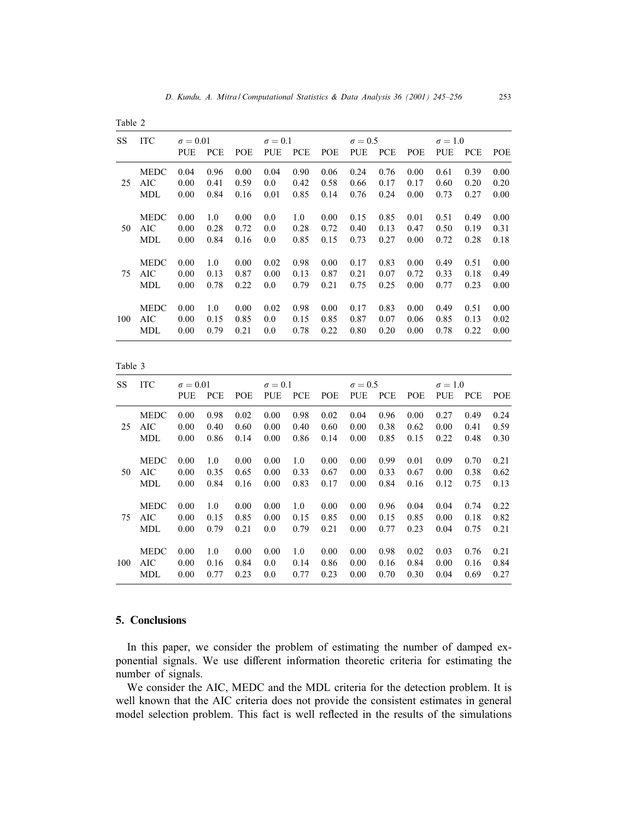|  | anie |  |  |
|--|------|--|--|
|--|------|--|--|

| <b>SS</b> | <b>ITC</b>  | $\sigma = 0.01$ |            |            | $\sigma = 0.1$ |            |      | $\sigma = 0.5$ |            |            | $\sigma = 1.0$ |            |            |
|-----------|-------------|-----------------|------------|------------|----------------|------------|------|----------------|------------|------------|----------------|------------|------------|
|           |             | <b>PUE</b>      | <b>PCE</b> | <b>POE</b> | <b>PUE</b>     | <b>PCE</b> | POE  | <b>PUE</b>     | <b>PCE</b> | <b>POE</b> | <b>PUE</b>     | <b>PCE</b> | <b>POE</b> |
|           | <b>MEDC</b> | 0.04            | 0.96       | 0.00       | 0.04           | 0.90       | 0.06 | 0.24           | 0.76       | 0.00       | 0.61           | 0.39       | 0.00       |
| 25        | AIC         | 0.00            | 0.41       | 0.59       | 0.0            | 0.42       | 0.58 | 0.66           | 0.17       | 0.17       | 0.60           | 0.20       | 0.20       |
|           | MDL         | 0.00            | 0.84       | 0.16       | 0.01           | 0.85       | 0.14 | 0.76           | 0.24       | 0.00       | 0.73           | 0.27       | 0.00       |
|           | <b>MEDC</b> | 0.00            | 1.0        | 0.00       | 0.0            | 1.0        | 0.00 | 0.15           | 0.85       | 0.01       | 0.51           | 0.49       | 0.00       |
| 50        | AIC         | 0.00            | 0.28       | 0.72       | 0.0            | 0.28       | 0.72 | 0.40           | 0.13       | 0.47       | 0.50           | 0.19       | 0.31       |
|           | MDL         | 0.00            | 0.84       | 0.16       | 0.0            | 0.85       | 0.15 | 0.73           | 0.27       | 0.00       | 0.72           | 0.28       | 0.18       |
|           | <b>MEDC</b> | 0.00            | 1.0        | 0.00       | 0.02           | 0.98       | 0.00 | 0.17           | 0.83       | 0.00       | 0.49           | 0.51       | 0.00       |
| 75        | AIC         | 0.00            | 0.13       | 0.87       | 0.00           | 0.13       | 0.87 | 0.21           | 0.07       | 0.72       | 0.33           | 0.18       | 0.49       |
|           | MDL         | 0.00            | 0.78       | 0.22       | 0.0            | 0.79       | 0.21 | 0.75           | 0.25       | 0.00       | 0.77           | 0.23       | 0.00       |
|           | <b>MEDC</b> | 0.00            | 1.0        | 0.00       | 0.02           | 0.98       | 0.00 | 0.17           | 0.83       | 0.00       | 0.49           | 0.51       | 0.00       |
| 100       | AIC         | 0.00            | 0.15       | 0.85       | 0.0            | 0.15       | 0.85 | 0.87           | 0.07       | 0.06       | 0.85           | 0.13       | 0.02       |
|           | MDL         | 0.00            | 0.79       | 0.21       | 0.0            | 0.78       | 0.22 | 0.80           | 0.20       | 0.00       | 0.78           | 0.22       | 0.00       |

Table 3

| SS. | <b>ITC</b>  | $\sigma = 0.01$ |            |            | $\sigma = 0.1$ |            |            | $\sigma = 0.5$ |            |      | $\sigma = 1.0$ |            |            |
|-----|-------------|-----------------|------------|------------|----------------|------------|------------|----------------|------------|------|----------------|------------|------------|
|     |             | <b>PUE</b>      | <b>PCE</b> | <b>POE</b> | <b>PUE</b>     | <b>PCE</b> | <b>POE</b> | <b>PUE</b>     | <b>PCE</b> | POE  | PUE            | <b>PCE</b> | <b>POE</b> |
|     | <b>MEDC</b> | 0.00            | 0.98       | 0.02       | 0.00           | 0.98       | 0.02       | 0.04           | 0.96       | 0.00 | 0.27           | 0.49       | 0.24       |
| 25  | AIC         | 0.00            | 0.40       | 0.60       | 0.00           | 0.40       | 0.60       | 0.00           | 0.38       | 0.62 | 0.00           | 0.41       | 0.59       |
|     | MDL         | 0.00            | 0.86       | 0.14       | 0.00           | 0.86       | 0.14       | 0.00           | 0.85       | 0.15 | 0.22           | 0.48       | 0.30       |
|     | <b>MEDC</b> | 0.00            | 1.0        | 0.00       | 0.00           | 1.0        | 0.00       | 0.00           | 0.99       | 0.01 | 0.09           | 0.70       | 0.21       |
| 50  | AIC         | 0.00            | 0.35       | 0.65       | 0.00           | 0.33       | 0.67       | 0.00           | 0.33       | 0.67 | 0.00           | 0.38       | 0.62       |
|     | MDL         | 0.00            | 0.84       | 0.16       | 0.00           | 0.83       | 0.17       | 0.00           | 0.84       | 0.16 | 0.12           | 0.75       | 0.13       |
|     | <b>MEDC</b> | 0.00            | 1.0        | 0.00       | 0.00           | 1.0        | 0.00       | 0.00           | 0.96       | 0.04 | 0.04           | 0.74       | 0.22       |
| 75  | AIC         | 0.00            | 0.15       | 0.85       | 0.00           | 0.15       | 0.85       | 0.00           | 0.15       | 0.85 | 0.00           | 0.18       | 0.82       |
|     | MDL         | 0.00            | 0.79       | 0.21       | 0.0            | 0.79       | 0.21       | 0.00           | 0.77       | 0.23 | 0.04           | 0.75       | 0.21       |
|     | <b>MEDC</b> | 0.00            | 1.0        | 0.00       | 0.00           | 1.0        | 0.00       | 0.00           | 0.98       | 0.02 | 0.03           | 0.76       | 0.21       |
| 100 | AIC         | 0.00            | 0.16       | 0.84       | 0.0            | 0.14       | 0.86       | 0.00           | 0.16       | 0.84 | 0.00           | 0.16       | 0.84       |
|     | <b>MDL</b>  | 0.00            | 0.77       | 0.23       | 0.0            | 0.77       | 0.23       | 0.00           | 0.70       | 0.30 | 0.04           | 0.69       | 0.27       |

# 5. Conclusions

In this paper, we consider the problem of estimating the number of damped exponential signals. We use different information theoretic criteria for estimating the number of signals.

We consider the AIC, MEDC and the MDL criteria for the detection problem. It is well known that the AIC criteria does not provide the consistent estimates in general model selection problem. This fact is well reflected in the results of the simulations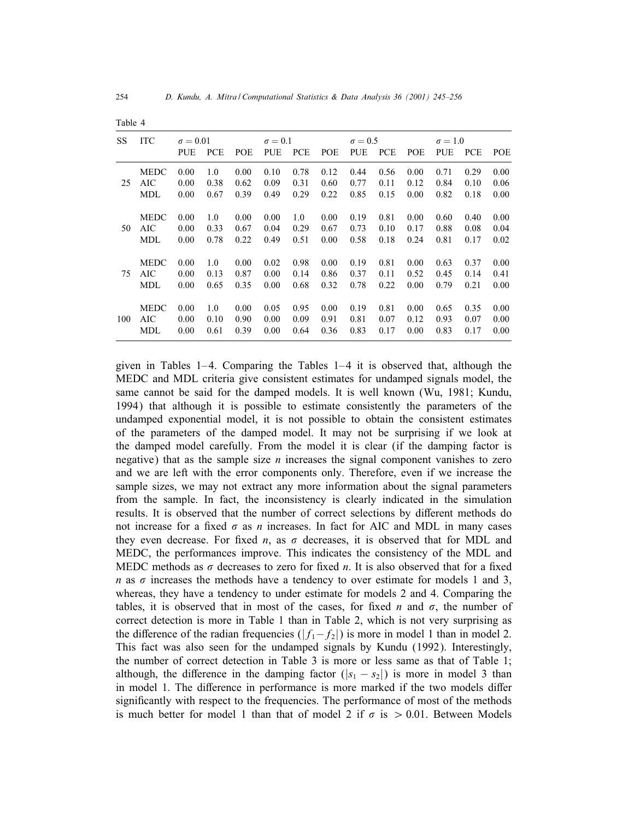| 54 |  |  |
|----|--|--|
|    |  |  |

| <b>SS</b> | <b>ITC</b>  | $\sigma = 0.01$ |            |            | $\sigma = 0.1$ |            |            | $\sigma = 0.5$ |            |            | $\sigma = 1.0$ |            |      |
|-----------|-------------|-----------------|------------|------------|----------------|------------|------------|----------------|------------|------------|----------------|------------|------|
|           |             | <b>PUE</b>      | <b>PCE</b> | <b>POE</b> | <b>PUE</b>     | <b>PCE</b> | <b>POE</b> | <b>PUE</b>     | <b>PCE</b> | <b>POE</b> | <b>PUE</b>     | <b>PCE</b> | POE  |
|           | <b>MEDC</b> | 0.00            | 1.0        | 0.00       | 0.10           | 0.78       | 0.12       | 0.44           | 0.56       | 0.00       | 0.71           | 0.29       | 0.00 |
| 25        | AIC         | 0.00            | 0.38       | 0.62       | 0.09           | 0.31       | 0.60       | 0.77           | 0.11       | 0.12       | 0.84           | 0.10       | 0.06 |
|           | MDL         | 0.00            | 0.67       | 0.39       | 0.49           | 0.29       | 0.22       | 0.85           | 0.15       | 0.00       | 0.82           | 0.18       | 0.00 |
|           | <b>MEDC</b> | 0.00            | 1.0        | 0.00       | 0.00           | 1.0        | 0.00       | 0.19           | 0.81       | 0.00       | 0.60           | 0.40       | 0.00 |
| 50        | AIC         | 0.00            | 0.33       | 0.67       | 0.04           | 0.29       | 0.67       | 0.73           | 0.10       | 0.17       | 0.88           | 0.08       | 0.04 |
|           | MDL         | 0.00            | 0.78       | 0.22       | 0.49           | 0.51       | 0.00       | 0.58           | 0.18       | 0.24       | 0.81           | 0.17       | 0.02 |
|           | <b>MEDC</b> | 0.00            | 1.0        | 0.00       | 0.02           | 0.98       | 0.00       | 0.19           | 0.81       | 0.00       | 0.63           | 0.37       | 0.00 |
| 75        | AIC         | 0.00            | 0.13       | 0.87       | 0.00           | 0.14       | 0.86       | 0.37           | 0.11       | 0.52       | 0.45           | 0.14       | 0.41 |
|           | MDL         | 0.00            | 0.65       | 0.35       | 0.00           | 0.68       | 0.32       | 0.78           | 0.22       | 0.00       | 0.79           | 0.21       | 0.00 |
|           | <b>MEDC</b> | 0.00            | 1.0        | 0.00       | 0.05           | 0.95       | 0.00       | 0.19           | 0.81       | 0.00       | 0.65           | 0.35       | 0.00 |
| 100       | AIC         | 0.00            | 0.10       | 0.90       | 0.00           | 0.09       | 0.91       | 0.81           | 0.07       | 0.12       | 0.93           | 0.07       | 0.00 |
|           | MDL         | 0.00            | 0.61       | 0.39       | 0.00           | 0.64       | 0.36       | 0.83           | 0.17       | 0.00       | 0.83           | 0.17       | 0.00 |

Table 4

given in Tables  $1-4$ . Comparing the Tables  $1-4$  it is observed that, although the MEDC and MDL criteria give consistent estimates for undamped signals model, the same cannot be said for the damped models. It is well known (Wu, 1981; Kundu, 1994) that although it is possible to estimate consistently the parameters of the undamped exponential model, it is not possible to obtain the consistent estimates of the parameters of the damped model. It may not be surprising if we look at the damped model carefully. From the model it is clear (if the damping factor is negative) that as the sample size  $n$  increases the signal component vanishes to zero and we are left with the error components only. Therefore, even if we increase the sample sizes, we may not extract any more information about the signal parameters from the sample. In fact, the inconsistency is clearly indicated in the simulation results. It is observed that the number of correct selections by different methods do not increase for a fixed  $\sigma$  as n increases. In fact for AIC and MDL in many cases they even decrease. For fixed *n*, as  $\sigma$  decreases, it is observed that for MDL and MEDC, the performances improve. This indicates the consistency of the MDL and MEDC methods as  $\sigma$  decreases to zero for fixed n. It is also observed that for a fixed n as  $\sigma$  increases the methods have a tendency to over estimate for models 1 and 3, whereas, they have a tendency to under estimate for models 2 and 4. Comparing the tables, it is observed that in most of the cases, for fixed n and  $\sigma$ , the number of correct detection is more in Table 1 than in Table 2, which is not very surprising as the difference of the radian frequencies ( $|f_1-f_2|$ ) is more in model 1 than in model 2. This fact was also seen for the undamped signals by Kundu (1992). Interestingly, the number of correct detection in Table 3 is more or less same as that of Table 1; although, the difference in the damping factor ( $|s_1 - s_2|$ ) is more in model 3 than in model 1. The difference in performance is more marked if the two models differ significantly with respect to the frequencies. The performance of most of the methods is much better for model 1 than that of model 2 if  $\sigma$  is  $> 0.01$ . Between Models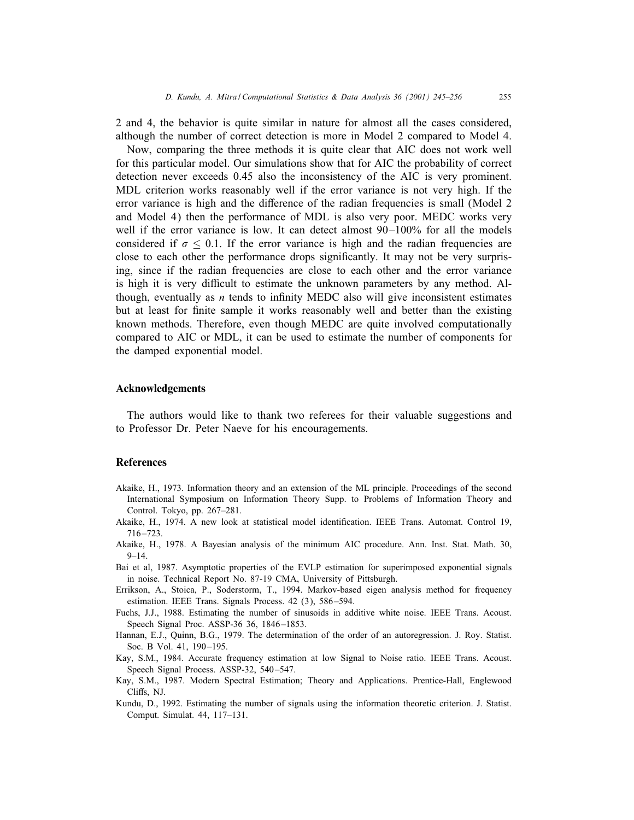2 and 4, the behavior is quite similar in nature for almost all the cases considered, although the number of correct detection is more in Model 2 compared to Model 4.

Now, comparing the three methods it is quite clear that AIC does not work well for this particular model. Our simulations show that for AIC the probability of correct detection never exceeds 0.45 also the inconsistency of the AIC is very prominent. MDL criterion works reasonably well if the error variance is not very high. If the error variance is high and the difference of the radian frequencies is small (Model 2) and Model 4) then the performance of MDL is also very poor. MEDC works very well if the error variance is low. It can detect almost  $90-100\%$  for all the models considered if  $\sigma \leq 0.1$ . If the error variance is high and the radian frequencies are close to each other the performance drops significantly. It may not be very surprising, since if the radian frequencies are close to each other and the error variance is high it is very difficult to estimate the unknown parameters by any method. Although, eventually as  $n$  tends to infinity MEDC also will give inconsistent estimates but at least for Gnite sample it works reasonably well and better than the existing known methods. Therefore, even though MEDC are quite involved computationally compared to AIC or MDL, it can be used to estimate the number of components for the damped exponential model.

#### Acknowledgements

The authors would like to thank two referees for their valuable suggestions and to Professor Dr. Peter Naeve for his encouragements.

## **References**

- Akaike, H., 1973. Information theory and an extension of the ML principle. Proceedings of the second International Symposium on Information Theory Supp. to Problems of Information Theory and Control. Tokyo, pp. 267–281.
- Akaike, H., 1974. A new look at statistical model identification. IEEE Trans. Automat. Control 19, 716 –723.
- Akaike, H., 1978. A Bayesian analysis of the minimum AIC procedure. Ann. Inst. Stat. Math. 30,  $9 - 14.$
- Bai et al, 1987. Asymptotic properties of the EVLP estimation for superimposed exponential signals in noise. Technical Report No. 87-19 CMA, University of Pittsburgh.
- Errikson, A., Stoica, P., Soderstorm, T., 1994. Markov-based eigen analysis method for frequency estimation. IEEE Trans. Signals Process. 42 (3), 586 –594.
- Fuchs, J.J., 1988. Estimating the numberof sinusoids in additive white noise. IEEE Trans. Acoust. Speech Signal Proc. ASSP-36 36, 1846-1853.
- Hannan, E.J., Quinn, B.G., 1979. The determination of the order of an autoregression. J. Roy. Statist. Soc. B Vol. 41, 190-195.
- Kay, S.M., 1984. Accurate frequency estimation at low Signal to Noise ratio. IEEE Trans. Acoust. Speech Signal Process. ASSP-32, 540-547.
- Kay, S.M., 1987. Modern Spectral Estimation; Theory and Applications. Prentice-Hall, Englewood Cliffs, NJ.
- Kundu, D., 1992. Estimating the number of signals using the information theoretic criterion. J. Statist. Comput. Simulat. 44, 117–131.